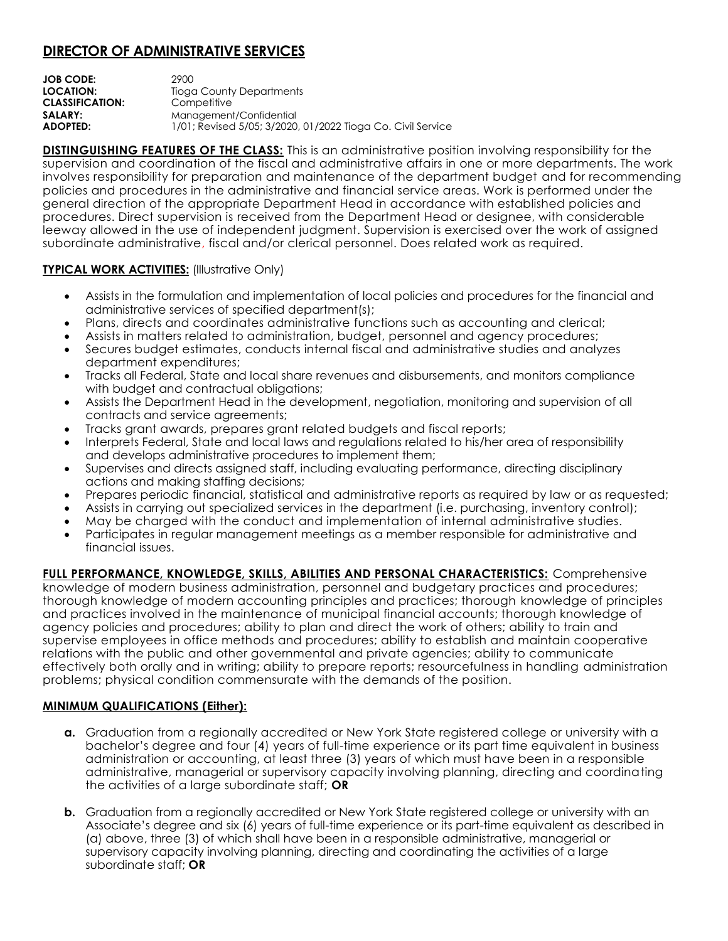## **DIRECTOR OF ADMINISTRATIVE SERVICES**

| JOB CODE:              | 2900                                                        |
|------------------------|-------------------------------------------------------------|
| LOCATION:              | Tioga County Departments                                    |
| <b>CLASSIFICATION:</b> | Competitive                                                 |
| <b>SALARY:</b>         | Management/Confidential                                     |
| ADOPTED:               | 1/01; Revised 5/05; 3/2020, 01/2022 Tioga Co. Civil Service |

**DISTINGUISHING FEATURES OF THE CLASS:** This is an administrative position involving responsibility for the supervision and coordination of the fiscal and administrative affairs in one or more departments. The work involves responsibility for preparation and maintenance of the department budget and for recommending policies and procedures in the administrative and financial service areas. Work is performed under the general direction of the appropriate Department Head in accordance with established policies and procedures. Direct supervision is received from the Department Head or designee, with considerable leeway allowed in the use of independent judgment. Supervision is exercised over the work of assigned subordinate administrative, fiscal and/or clerical personnel. Does related work as required.

## **TYPICAL WORK ACTIVITIES:** (Illustrative Only)

- Assists in the formulation and implementation of local policies and procedures for the financial and administrative services of specified department(s);
- Plans, directs and coordinates administrative functions such as accounting and clerical;
- Assists in matters related to administration, budget, personnel and agency procedures;
- Secures budget estimates, conducts internal fiscal and administrative studies and analyzes department expenditures;
- Tracks all Federal, State and local share revenues and disbursements, and monitors compliance with budget and contractual obligations;
- Assists the Department Head in the development, negotiation, monitoring and supervision of all contracts and service agreements;
- Tracks grant awards, prepares grant related budgets and fiscal reports;
- Interprets Federal, State and local laws and regulations related to his/her area of responsibility and develops administrative procedures to implement them;
- Supervises and directs assigned staff, including evaluating performance, directing disciplinary actions and making staffing decisions;
- Prepares periodic financial, statistical and administrative reports as required by law or as requested;
- Assists in carrying out specialized services in the department (i.e. purchasing, inventory control);
- May be charged with the conduct and implementation of internal administrative studies.
- Participates in regular management meetings as a member responsible for administrative and financial issues.

**FULL PERFORMANCE, KNOWLEDGE, SKILLS, ABILITIES AND PERSONAL CHARACTERISTICS:** Comprehensive knowledge of modern business administration, personnel and budgetary practices and procedures; thorough knowledge of modern accounting principles and practices; thorough knowledge of principles and practices involved in the maintenance of municipal financial accounts; thorough knowledge of agency policies and procedures; ability to plan and direct the work of others; ability to train and supervise employees in office methods and procedures; ability to establish and maintain cooperative relations with the public and other governmental and private agencies; ability to communicate effectively both orally and in writing; ability to prepare reports; resourcefulness in handling administration problems; physical condition commensurate with the demands of the position.

## **MINIMUM QUALIFICATIONS (Either):**

- **a.** Graduation from a regionally accredited or New York State registered college or university with a bachelor's degree and four (4) years of full-time experience or its part time equivalent in business administration or accounting, at least three (3) years of which must have been in a responsible administrative, managerial or supervisory capacity involving planning, directing and coordinating the activities of a large subordinate staff; **OR**
- **b.** Graduation from a regionally accredited or New York State registered college or university with an Associate's degree and six (6) years of full-time experience or its part-time equivalent as described in (a) above, three (3) of which shall have been in a responsible administrative, managerial or supervisory capacity involving planning, directing and coordinating the activities of a large subordinate staff; **OR**